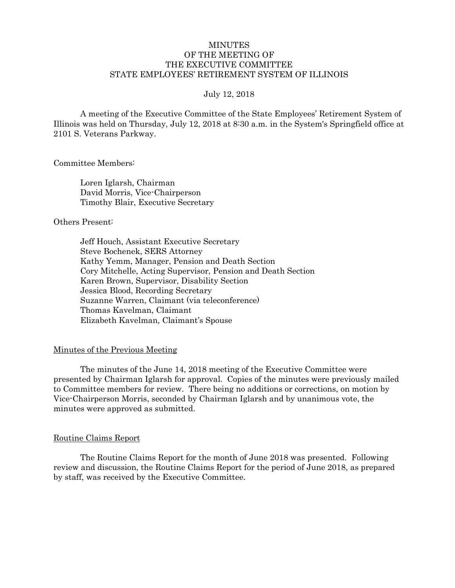# **MINUTES** OF THE MEETING OF THE EXECUTIVE COMMITTEE STATE EMPLOYEES' RETIREMENT SYSTEM OF ILLINOIS

### July 12, 2018

A meeting of the Executive Committee of the State Employees' Retirement System of Illinois was held on Thursday, July 12, 2018 at 8:30 a.m. in the System's Springfield office at 2101 S. Veterans Parkway.

Committee Members:

Loren Iglarsh, Chairman David Morris, Vice-Chairperson Timothy Blair, Executive Secretary

### Others Present:

Jeff Houch, Assistant Executive Secretary Steve Bochenek, SERS Attorney Kathy Yemm, Manager, Pension and Death Section Cory Mitchelle, Acting Supervisor, Pension and Death Section Karen Brown, Supervisor, Disability Section Jessica Blood, Recording Secretary Suzanne Warren, Claimant (via teleconference) Thomas Kavelman, Claimant Elizabeth Kavelman, Claimant's Spouse

## Minutes of the Previous Meeting

The minutes of the June 14, 2018 meeting of the Executive Committee were presented by Chairman Iglarsh for approval. Copies of the minutes were previously mailed to Committee members for review. There being no additions or corrections, on motion by Vice-Chairperson Morris, seconded by Chairman Iglarsh and by unanimous vote, the minutes were approved as submitted.

#### Routine Claims Report

The Routine Claims Report for the month of June 2018 was presented. Following review and discussion, the Routine Claims Report for the period of June 2018, as prepared by staff, was received by the Executive Committee.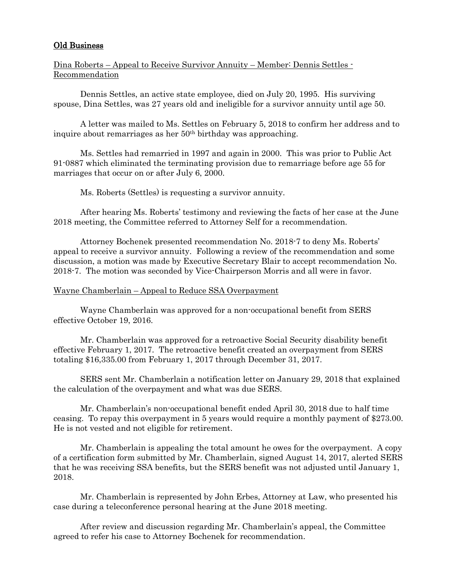# Old Business

Dina Roberts – Appeal to Receive Survivor Annuity – Member: Dennis Settles - Recommendation

Dennis Settles, an active state employee, died on July 20, 1995. His surviving spouse, Dina Settles, was 27 years old and ineligible for a survivor annuity until age 50.

A letter was mailed to Ms. Settles on February 5, 2018 to confirm her address and to inquire about remarriages as her 50<sup>th</sup> birthday was approaching.

Ms. Settles had remarried in 1997 and again in 2000. This was prior to Public Act 91-0887 which eliminated the terminating provision due to remarriage before age 55 for marriages that occur on or after July 6, 2000.

Ms. Roberts (Settles) is requesting a survivor annuity.

After hearing Ms. Roberts' testimony and reviewing the facts of her case at the June 2018 meeting, the Committee referred to Attorney Self for a recommendation.

Attorney Bochenek presented recommendation No. 2018-7 to deny Ms. Roberts' appeal to receive a survivor annuity. Following a review of the recommendation and some discussion, a motion was made by Executive Secretary Blair to accept recommendation No. 2018-7. The motion was seconded by Vice-Chairperson Morris and all were in favor.

## Wayne Chamberlain – Appeal to Reduce SSA Overpayment

Wayne Chamberlain was approved for a non-occupational benefit from SERS effective October 19, 2016.

Mr. Chamberlain was approved for a retroactive Social Security disability benefit effective February 1, 2017. The retroactive benefit created an overpayment from SERS totaling \$16,335.00 from February 1, 2017 through December 31, 2017.

SERS sent Mr. Chamberlain a notification letter on January 29, 2018 that explained the calculation of the overpayment and what was due SERS.

Mr. Chamberlain's non-occupational benefit ended April 30, 2018 due to half time ceasing. To repay this overpayment in 5 years would require a monthly payment of \$273.00. He is not vested and not eligible for retirement.

Mr. Chamberlain is appealing the total amount he owes for the overpayment. A copy of a certification form submitted by Mr. Chamberlain, signed August 14, 2017, alerted SERS that he was receiving SSA benefits, but the SERS benefit was not adjusted until January 1, 2018.

Mr. Chamberlain is represented by John Erbes, Attorney at Law, who presented his case during a teleconference personal hearing at the June 2018 meeting.

After review and discussion regarding Mr. Chamberlain's appeal, the Committee agreed to refer his case to Attorney Bochenek for recommendation.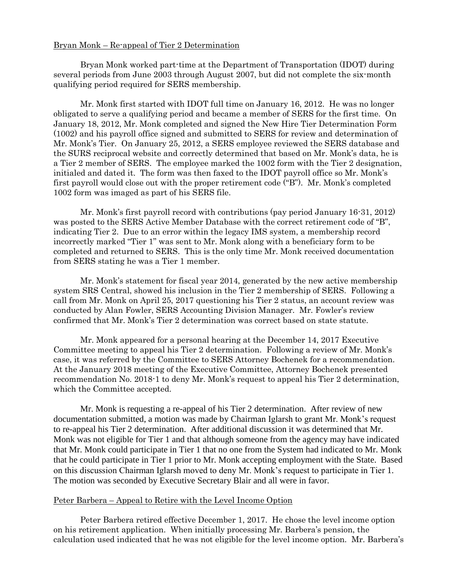### Bryan Monk – Re-appeal of Tier 2 Determination

Bryan Monk worked part-time at the Department of Transportation (IDOT) during several periods from June 2003 through August 2007, but did not complete the six-month qualifying period required for SERS membership.

Mr. Monk first started with IDOT full time on January 16, 2012. He was no longer obligated to serve a qualifying period and became a member of SERS for the first time. On January 18, 2012, Mr. Monk completed and signed the New Hire Tier Determination Form (1002) and his payroll office signed and submitted to SERS for review and determination of Mr. Monk's Tier. On January 25, 2012, a SERS employee reviewed the SERS database and the SURS reciprocal website and correctly determined that based on Mr. Monk's data, he is a Tier 2 member of SERS. The employee marked the 1002 form with the Tier 2 designation, initialed and dated it. The form was then faxed to the IDOT payroll office so Mr. Monk's first payroll would close out with the proper retirement code ("B"). Mr. Monk's completed 1002 form was imaged as part of his SERS file.

Mr. Monk's first payroll record with contributions (pay period January 16-31, 2012) was posted to the SERS Active Member Database with the correct retirement code of "B", indicating Tier 2. Due to an error within the legacy IMS system, a membership record incorrectly marked "Tier 1" was sent to Mr. Monk along with a beneficiary form to be completed and returned to SERS. This is the only time Mr. Monk received documentation from SERS stating he was a Tier 1 member.

Mr. Monk's statement for fiscal year 2014, generated by the new active membership system SRS Central, showed his inclusion in the Tier 2 membership of SERS. Following a call from Mr. Monk on April 25, 2017 questioning his Tier 2 status, an account review was conducted by Alan Fowler, SERS Accounting Division Manager. Mr. Fowler's review confirmed that Mr. Monk's Tier 2 determination was correct based on state statute.

Mr. Monk appeared for a personal hearing at the December 14, 2017 Executive Committee meeting to appeal his Tier 2 determination. Following a review of Mr. Monk's case, it was referred by the Committee to SERS Attorney Bochenek for a recommendation. At the January 2018 meeting of the Executive Committee, Attorney Bochenek presented recommendation No. 2018-1 to deny Mr. Monk's request to appeal his Tier 2 determination, which the Committee accepted.

Mr. Monk is requesting a re-appeal of his Tier 2 determination. After review of new documentation submitted, a motion was made by Chairman Iglarsh to grant Mr. Monk's request to re-appeal his Tier 2 determination. After additional discussion it was determined that Mr. Monk was not eligible for Tier 1 and that although someone from the agency may have indicated that Mr. Monk could participate in Tier 1 that no one from the System had indicated to Mr. Monk that he could participate in Tier 1 prior to Mr. Monk accepting employment with the State. Based on this discussion Chairman Iglarsh moved to deny Mr. Monk's request to participate in Tier 1. The motion was seconded by Executive Secretary Blair and all were in favor.

#### Peter Barbera – Appeal to Retire with the Level Income Option

Peter Barbera retired effective December 1, 2017. He chose the level income option on his retirement application. When initially processing Mr. Barbera's pension, the calculation used indicated that he was not eligible for the level income option. Mr. Barbera's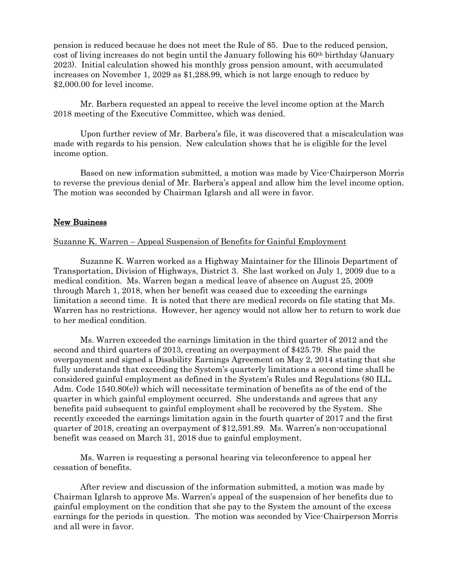pension is reduced because he does not meet the Rule of 85. Due to the reduced pension, cost of living increases do not begin until the January following his 60<sup>th</sup> birthday (January 2023). Initial calculation showed his monthly gross pension amount, with accumulated increases on November 1, 2029 as \$1,288.99, which is not large enough to reduce by \$2,000.00 for level income.

Mr. Barbera requested an appeal to receive the level income option at the March 2018 meeting of the Executive Committee, which was denied.

Upon further review of Mr. Barbera's file, it was discovered that a miscalculation was made with regards to his pension. New calculation shows that he is eligible for the level income option.

Based on new information submitted, a motion was made by Vice-Chairperson Morris to reverse the previous denial of Mr. Barbera's appeal and allow him the level income option. The motion was seconded by Chairman Iglarsh and all were in favor.

## New Business

### Suzanne K. Warren – Appeal Suspension of Benefits for Gainful Employment

Suzanne K. Warren worked as a Highway Maintainer for the Illinois Department of Transportation, Division of Highways, District 3. She last worked on July 1, 2009 due to a medical condition. Ms. Warren began a medical leave of absence on August 25, 2009 through March 1, 2018, when her benefit was ceased due to exceeding the earnings limitation a second time. It is noted that there are medical records on file stating that Ms. Warren has no restrictions. However, her agency would not allow her to return to work due to her medical condition.

Ms. Warren exceeded the earnings limitation in the third quarter of 2012 and the second and third quarters of 2013, creating an overpayment of \$425.79. She paid the overpayment and signed a Disability Earnings Agreement on May 2, 2014 stating that she fully understands that exceeding the System's quarterly limitations a second time shall be considered gainful employment as defined in the System's Rules and Regulations (80 ILL. Adm. Code 1540.80(e)) which will necessitate termination of benefits as of the end of the quarter in which gainful employment occurred. She understands and agrees that any benefits paid subsequent to gainful employment shall be recovered by the System. She recently exceeded the earnings limitation again in the fourth quarter of 2017 and the first quarter of 2018, creating an overpayment of \$12,591.89. Ms. Warren's non-occupational benefit was ceased on March 31, 2018 due to gainful employment.

Ms. Warren is requesting a personal hearing via teleconference to appeal her cessation of benefits.

After review and discussion of the information submitted, a motion was made by Chairman Iglarsh to approve Ms. Warren's appeal of the suspension of her benefits due to gainful employment on the condition that she pay to the System the amount of the excess earnings for the periods in question. The motion was seconded by Vice-Chairperson Morris and all were in favor.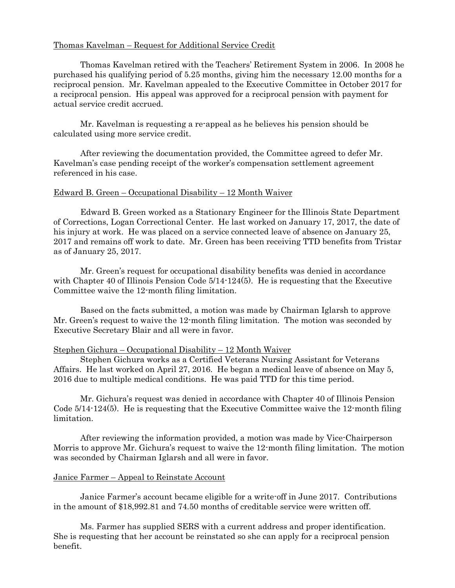# Thomas Kavelman – Request for Additional Service Credit

Thomas Kavelman retired with the Teachers' Retirement System in 2006. In 2008 he purchased his qualifying period of 5.25 months, giving him the necessary 12.00 months for a reciprocal pension. Mr. Kavelman appealed to the Executive Committee in October 2017 for a reciprocal pension. His appeal was approved for a reciprocal pension with payment for actual service credit accrued.

Mr. Kavelman is requesting a re-appeal as he believes his pension should be calculated using more service credit.

After reviewing the documentation provided, the Committee agreed to defer Mr. Kavelman's case pending receipt of the worker's compensation settlement agreement referenced in his case.

# Edward B. Green – Occupational Disability – 12 Month Waiver

Edward B. Green worked as a Stationary Engineer for the Illinois State Department of Corrections, Logan Correctional Center. He last worked on January 17, 2017, the date of his injury at work. He was placed on a service connected leave of absence on January 25, 2017 and remains off work to date. Mr. Green has been receiving TTD benefits from Tristar as of January 25, 2017.

Mr. Green's request for occupational disability benefits was denied in accordance with Chapter 40 of Illinois Pension Code 5/14-124(5). He is requesting that the Executive Committee waive the 12-month filing limitation.

Based on the facts submitted, a motion was made by Chairman Iglarsh to approve Mr. Green's request to waive the 12-month filing limitation. The motion was seconded by Executive Secretary Blair and all were in favor.

## Stephen Gichura – Occupational Disability – 12 Month Waiver

Stephen Gichura works as a Certified Veterans Nursing Assistant for Veterans Affairs. He last worked on April 27, 2016. He began a medical leave of absence on May 5, 2016 due to multiple medical conditions. He was paid TTD for this time period.

Mr. Gichura's request was denied in accordance with Chapter 40 of Illinois Pension Code 5/14-124(5). He is requesting that the Executive Committee waive the 12-month filing limitation.

After reviewing the information provided, a motion was made by Vice-Chairperson Morris to approve Mr. Gichura's request to waive the 12-month filing limitation. The motion was seconded by Chairman Iglarsh and all were in favor.

## Janice Farmer – Appeal to Reinstate Account

Janice Farmer's account became eligible for a write-off in June 2017. Contributions in the amount of \$18,992.81 and 74.50 months of creditable service were written off.

Ms. Farmer has supplied SERS with a current address and proper identification. She is requesting that her account be reinstated so she can apply for a reciprocal pension benefit.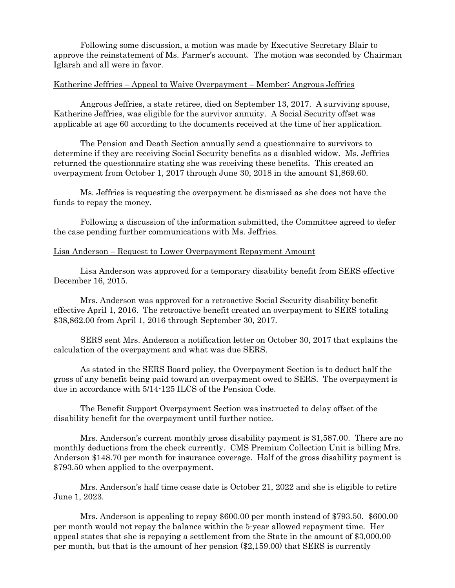Following some discussion, a motion was made by Executive Secretary Blair to approve the reinstatement of Ms. Farmer's account. The motion was seconded by Chairman Iglarsh and all were in favor.

## Katherine Jeffries – Appeal to Waive Overpayment – Member: Angrous Jeffries

Angrous Jeffries, a state retiree, died on September 13, 2017. A surviving spouse, Katherine Jeffries, was eligible for the survivor annuity. A Social Security offset was applicable at age 60 according to the documents received at the time of her application.

The Pension and Death Section annually send a questionnaire to survivors to determine if they are receiving Social Security benefits as a disabled widow. Ms. Jeffries returned the questionnaire stating she was receiving these benefits. This created an overpayment from October 1, 2017 through June 30, 2018 in the amount \$1,869.60.

Ms. Jeffries is requesting the overpayment be dismissed as she does not have the funds to repay the money.

Following a discussion of the information submitted, the Committee agreed to defer the case pending further communications with Ms. Jeffries.

## Lisa Anderson – Request to Lower Overpayment Repayment Amount

Lisa Anderson was approved for a temporary disability benefit from SERS effective December 16, 2015.

Mrs. Anderson was approved for a retroactive Social Security disability benefit effective April 1, 2016. The retroactive benefit created an overpayment to SERS totaling \$38,862.00 from April 1, 2016 through September 30, 2017.

SERS sent Mrs. Anderson a notification letter on October 30, 2017 that explains the calculation of the overpayment and what was due SERS.

As stated in the SERS Board policy, the Overpayment Section is to deduct half the gross of any benefit being paid toward an overpayment owed to SERS. The overpayment is due in accordance with 5/14-125 ILCS of the Pension Code.

The Benefit Support Overpayment Section was instructed to delay offset of the disability benefit for the overpayment until further notice.

Mrs. Anderson's current monthly gross disability payment is \$1,587.00. There are no monthly deductions from the check currently. CMS Premium Collection Unit is billing Mrs. Anderson \$148.70 per month for insurance coverage. Half of the gross disability payment is \$793.50 when applied to the overpayment.

Mrs. Anderson's half time cease date is October 21, 2022 and she is eligible to retire June 1, 2023.

Mrs. Anderson is appealing to repay \$600.00 per month instead of \$793.50. \$600.00 per month would not repay the balance within the 5-year allowed repayment time. Her appeal states that she is repaying a settlement from the State in the amount of \$3,000.00 per month, but that is the amount of her pension (\$2,159.00) that SERS is currently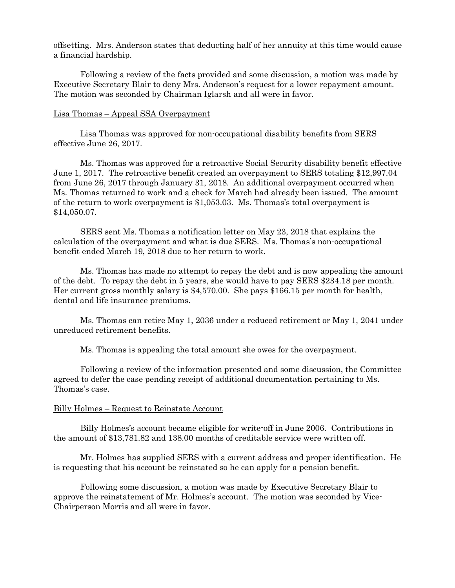offsetting. Mrs. Anderson states that deducting half of her annuity at this time would cause a financial hardship.

Following a review of the facts provided and some discussion, a motion was made by Executive Secretary Blair to deny Mrs. Anderson's request for a lower repayment amount. The motion was seconded by Chairman Iglarsh and all were in favor.

### Lisa Thomas – Appeal SSA Overpayment

Lisa Thomas was approved for non-occupational disability benefits from SERS effective June 26, 2017.

Ms. Thomas was approved for a retroactive Social Security disability benefit effective June 1, 2017. The retroactive benefit created an overpayment to SERS totaling \$12,997.04 from June 26, 2017 through January 31, 2018. An additional overpayment occurred when Ms. Thomas returned to work and a check for March had already been issued. The amount of the return to work overpayment is \$1,053.03. Ms. Thomas's total overpayment is \$14,050.07.

SERS sent Ms. Thomas a notification letter on May 23, 2018 that explains the calculation of the overpayment and what is due SERS. Ms. Thomas's non-occupational benefit ended March 19, 2018 due to her return to work.

Ms. Thomas has made no attempt to repay the debt and is now appealing the amount of the debt. To repay the debt in 5 years, she would have to pay SERS \$234.18 per month. Her current gross monthly salary is \$4,570.00. She pays \$166.15 per month for health, dental and life insurance premiums.

Ms. Thomas can retire May 1, 2036 under a reduced retirement or May 1, 2041 under unreduced retirement benefits.

Ms. Thomas is appealing the total amount she owes for the overpayment.

Following a review of the information presented and some discussion, the Committee agreed to defer the case pending receipt of additional documentation pertaining to Ms. Thomas's case.

#### Billy Holmes – Request to Reinstate Account

Billy Holmes's account became eligible for write-off in June 2006. Contributions in the amount of \$13,781.82 and 138.00 months of creditable service were written off.

Mr. Holmes has supplied SERS with a current address and proper identification. He is requesting that his account be reinstated so he can apply for a pension benefit.

Following some discussion, a motion was made by Executive Secretary Blair to approve the reinstatement of Mr. Holmes's account. The motion was seconded by Vice-Chairperson Morris and all were in favor.